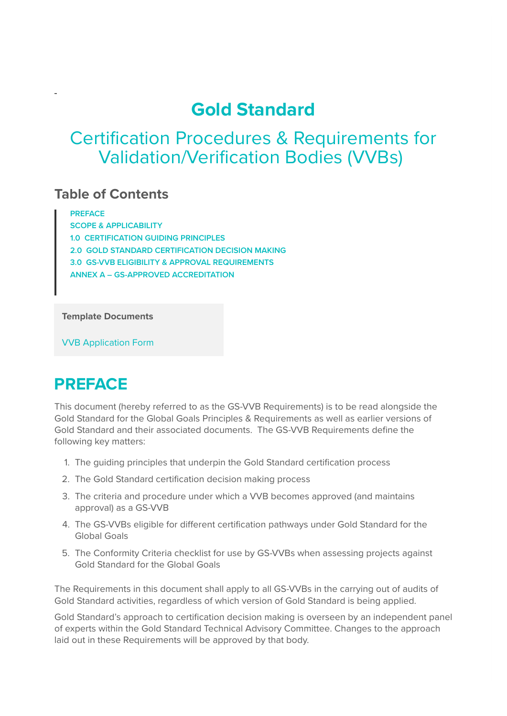### **Gold Standard**

### Certification Procedures & Requirements for Validation/Verification Bodies (VVBs)

### **Table of Contents**

**[PREFACE](https://globalgoals.goldstandard.org/101-a-vvbr-gold-standard-validation-verification-body-requirements/#_Toc485907866) [SCOPE & APPLICABILITY](https://globalgoals.goldstandard.org/101-a-vvbr-gold-standard-validation-verification-body-requirements/#_Toc485907867) [1.0 CERTIFICATION GUIDING PRINCIPLES](https://globalgoals.goldstandard.org/101-a-vvbr-gold-standard-validation-verification-body-requirements/#_Toc485907868) [2.0 GOLD STANDARD CERTIFICATION DECISION MAKING](https://globalgoals.goldstandard.org/101-a-vvbr-gold-standard-validation-verification-body-requirements/#_Toc485907869) [3.0 GS-VVB ELIGIBILITY & APPROVAL REQUIREMENTS](https://globalgoals.goldstandard.org/101-a-vvbr-gold-standard-validation-verification-body-requirements/#_Toc485907870) [ANNEX A – GS-APPROVED ACCREDITATION](https://globalgoals.goldstandard.org/101-a-vvbr-gold-standard-validation-verification-body-requirements/#_Toc485907871)**

**Template Documents**

[VVB Application Form](https://globalgoals.goldstandard.org/wp-content/uploads/2017/06/101.1-A-T-VVB-Application-1.docx)

# **PREFACE**

This document (hereby referred to as the GS-VVB Requirements) is to be read alongside the Gold Standard for the Global Goals Principles & Requirements as well as earlier versions of Gold Standard and their associated documents. The GS-VVB Requirements define the following key matters:

- 1. The guiding principles that underpin the Gold Standard certification process
- 2. The Gold Standard certification decision making process
- 3. The criteria and procedure under which a VVB becomes approved (and maintains approval) as a GS-VVB
- 4. The GS-VVBs eligible for different certification pathways under Gold Standard for the Global Goals
- 5. The Conformity Criteria checklist for use by GS-VVBs when assessing projects against Gold Standard for the Global Goals

The Requirements in this document shall apply to all GS-VVBs in the carrying out of audits of Gold Standard activities, regardless of which version of Gold Standard is being applied.

Gold Standard's approach to certification decision making is overseen by an independent panel of experts within the Gold Standard Technical Advisory Committee. Changes to the approach laid out in these Requirements will be approved by that body.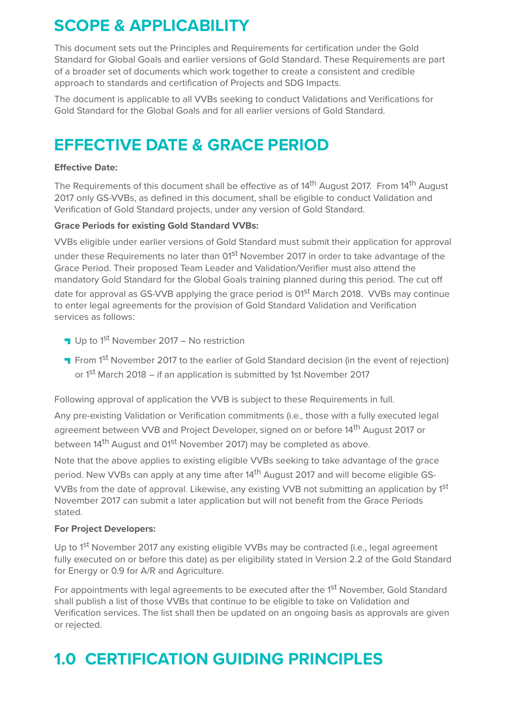# **SCOPE & APPLICABILITY**

This document sets out the Principles and Requirements for certification under the Gold Standard for Global Goals and earlier versions of Gold Standard. These Requirements are part of a broader set of documents which work together to create a consistent and credible approach to standards and certification of Projects and SDG Impacts.

The document is applicable to all VVBs seeking to conduct Validations and Verifications for Gold Standard for the Global Goals and for all earlier versions of Gold Standard.

### **EFFECTIVE DATE & GRACE PERIOD**

#### **Effective Date:**

The Requirements of this document shall be effective as of 14<sup>th</sup> August 2017. From 14<sup>th</sup> August 2017 only GS-VVBs, as defined in this document, shall be eligible to conduct Validation and Verification of Gold Standard projects, under any version of Gold Standard.

#### **Grace Periods for existing Gold Standard VVBs:**

VVBs eligible under earlier versions of Gold Standard must submit their application for approval under these Requirements no later than 01<sup>st</sup> November 2017 in order to take advantage of the Grace Period. Their proposed Team Leader and Validation/Verifier must also attend the mandatory Gold Standard for the Global Goals training planned during this period. The cut off

date for approval as GS-VVB applying the grace period is 01<sup>st</sup> March 2018. VVBs may continue to enter legal agreements for the provision of Gold Standard Validation and Verification services as follows:

- Up to  $1<sup>st</sup>$  November 2017 No restriction
- **T** From 1<sup>st</sup> November 2017 to the earlier of Gold Standard decision (in the event of rejection) or 1<sup>st</sup> March 2018 – if an application is submitted by 1st November 2017

Following approval of application the VVB is subject to these Requirements in full.

Any pre-existing Validation or Verification commitments (i.e., those with a fully executed legal agreement between VVB and Project Developer, signed on or before 14<sup>th</sup> August 2017 or between 14<sup>th</sup> August and 01<sup>st</sup> November 2017) may be completed as above.

Note that the above applies to existing eligible VVBs seeking to take advantage of the grace period. New VVBs can apply at any time after 14<sup>th</sup> August 2017 and will become eligible GS-VVBs from the date of approval. Likewise, any existing VVB not submitting an application by 1st November 2017 can submit a later application but will not benefit from the Grace Periods stated.

#### **For Project Developers:**

Up to 1<sup>st</sup> November 2017 any existing eligible VVBs may be contracted (i.e., legal agreement fully executed on or before this date) as per eligibility stated in Version 2.2 of the Gold Standard for Energy or 0.9 for A/R and Agriculture.

For appointments with legal agreements to be executed after the 1<sup>st</sup> November, Gold Standard shall publish a list of those VVBs that continue to be eligible to take on Validation and Verification services. The list shall then be updated on an ongoing basis as approvals are given or rejected.

# **1.0 CERTIFICATION GUIDING PRINCIPLES**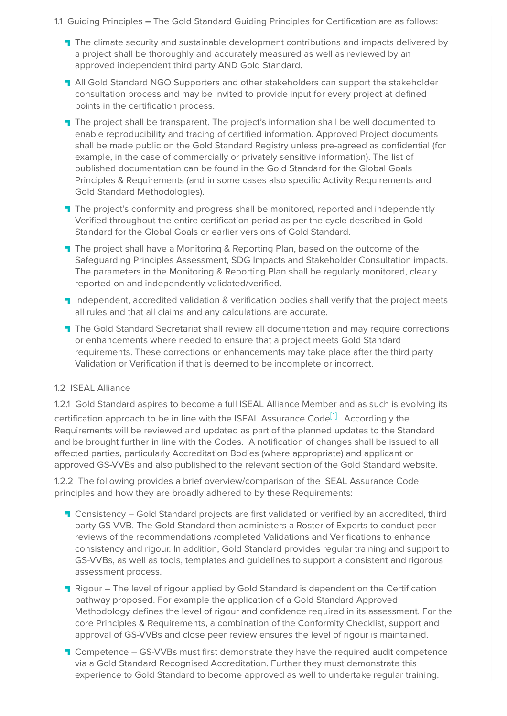- 1.1 Guiding PrinciplesThe Gold Standard Guiding Principles for Certification are as follows:
	- **T** The climate security and sustainable development contributions and impacts delivered by a project shall be thoroughly and accurately measured as well as reviewed by an approved independent third party AND Gold Standard.
	- **T** All Gold Standard NGO Supporters and other stakeholders can support the stakeholder consultation process and may be invited to provide input for every project at defined points in the certification process.
	- The project shall be transparent. The project's information shall be well documented to enable reproducibility and tracing of certified information. Approved Project documents shall be made public on the Gold Standard Registry unless pre-agreed as confidential (for example, in the case of commercially or privately sensitive information). The list of published documentation can be found in the Gold Standard for the Global Goals Principles & Requirements (and in some cases also specific Activity Requirements and Gold Standard Methodologies).
	- The project's conformity and progress shall be monitored, reported and independently Verified throughout the entire certification period as per the cycle described in Gold Standard for the Global Goals or earlier versions of Gold Standard.
	- **T** The project shall have a Monitoring & Reporting Plan, based on the outcome of the Safeguarding Principles Assessment, SDG Impacts and Stakeholder Consultation impacts. The parameters in the Monitoring & Reporting Plan shall be regularly monitored, clearly reported on and independently validated/verified.
	- **I** Independent, accredited validation & verification bodies shall verify that the project meets all rules and that all claims and any calculations are accurate.
	- **T** The Gold Standard Secretariat shall review all documentation and may require corrections or enhancements where needed to ensure that a project meets Gold Standard requirements. These corrections or enhancements may take place after the third party Validation or Verification if that is deemed to be incomplete or incorrect.

#### 1.2 ISEAL Alliance

1.2.1 Gold Standard aspires to become a full ISEAL Alliance Member and as such is evolving its

certification approach to be in line with the ISEAL Assurance Code<sup>[1]</sup>. Accordingly the Requirements will be reviewed and updated as part of the planned updates to the Standard and be brought further in line with the Codes. A notification of changes shall be issued to all affected parties, particularly Accreditation Bodies (where appropriate) and applicant or approved GS-VVBs and also published to the relevant section of the Gold Standard website.

1.2.2 The following provides a brief overview/comparison of the ISEAL Assurance Code principles and how they are broadly adhered to by these Requirements:

- **T** Consistency Gold Standard projects are first validated or verified by an accredited, third party GS-VVB. The Gold Standard then administers a Roster of Experts to conduct peer reviews of the recommendations /completed Validations and Verifications to enhance consistency and rigour. In addition, Gold Standard provides regular training and support to GS-VVBs, as well as tools, templates and guidelines to support a consistent and rigorous assessment process.
- Rigour The level of rigour applied by Gold Standard is dependent on the Certification pathway proposed. For example the application of a Gold Standard Approved Methodology defines the level of rigour and confidence required in its assessment. For the core Principles & Requirements, a combination of the Conformity Checklist, support and approval of GS-VVBs and close peer review ensures the level of rigour is maintained.
- **T** Competence GS-VVBs must first demonstrate they have the required audit competence via a Gold Standard Recognised Accreditation. Further they must demonstrate this experience to Gold Standard to become approved as well to undertake regular training.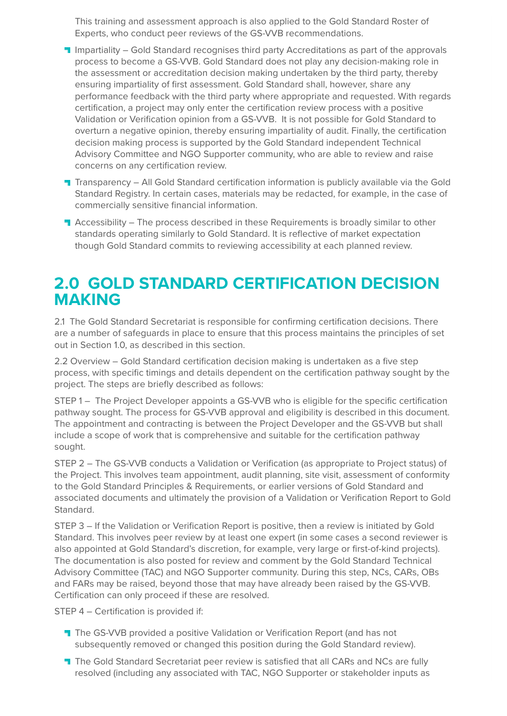This training and assessment approach is also applied to the Gold Standard Roster of Experts, who conduct peer reviews of the GS-VVB recommendations.

- **Impartiality Gold Standard recognises third party Accreditations as part of the approvals** process to become a GS-VVB. Gold Standard does not play any decision-making role in the assessment or accreditation decision making undertaken by the third party, thereby ensuring impartiality of first assessment. Gold Standard shall, however, share any performance feedback with the third party where appropriate and requested. With regards certification, a project may only enter the certification review process with a positive Validation or Verification opinion from a GS-VVB. It is not possible for Gold Standard to overturn a negative opinion, thereby ensuring impartiality of audit. Finally, the certification decision making process is supported by the Gold Standard independent Technical Advisory Committee and NGO Supporter community, who are able to review and raise concerns on any certification review.
- **T** Transparency All Gold Standard certification information is publicly available via the Gold Standard Registry. In certain cases, materials may be redacted, for example, in the case of commercially sensitive financial information.
- **T** Accessibility The process described in these Requirements is broadly similar to other standards operating similarly to Gold Standard. It is reflective of market expectation though Gold Standard commits to reviewing accessibility at each planned review.

### **2.0 GOLD STANDARD CERTIFICATION DECISION MAKING**

2.1 The Gold Standard Secretariat is responsible for confirming certification decisions. There are a number of safeguards in place to ensure that this process maintains the principles of set out in Section 1.0, as described in this section.

2.2 Overview – Gold Standard certification decision making is undertaken as a five step process, with specific timings and details dependent on the certification pathway sought by the project. The steps are briefly described as follows:

STEP 1 – The Project Developer appoints a GS-VVB who is eligible for the specific certification pathway sought. The process for GS-VVB approval and eligibility is described in this document. The appointment and contracting is between the Project Developer and the GS-VVB but shall include a scope of work that is comprehensive and suitable for the certification pathway sought.

STEP 2 – The GS-VVB conducts a Validation or Verification (as appropriate to Project status) of the Project. This involves team appointment, audit planning, site visit, assessment of conformity to the Gold Standard Principles & Requirements, or earlier versions of Gold Standard and associated documents and ultimately the provision of a Validation or Verification Report to Gold Standard.

STEP 3 – If the Validation or Verification Report is positive, then a review is initiated by Gold Standard. This involves peer review by at least one expert (in some cases a second reviewer is also appointed at Gold Standard's discretion, for example, very large or first-of-kind projects). The documentation is also posted for review and comment by the Gold Standard Technical Advisory Committee (TAC) and NGO Supporter community. During this step, NCs, CARs, OBs and FARs may be raised, beyond those that may have already been raised by the GS-VVB. Certification can only proceed if these are resolved.

STEP 4 – Certification is provided if:

- **T** The GS-VVB provided a positive Validation or Verification Report (and has not subsequently removed or changed this position during the Gold Standard review).
- The Gold Standard Secretariat peer review is satisfied that all CARs and NCs are fully resolved (including any associated with TAC, NGO Supporter or stakeholder inputs as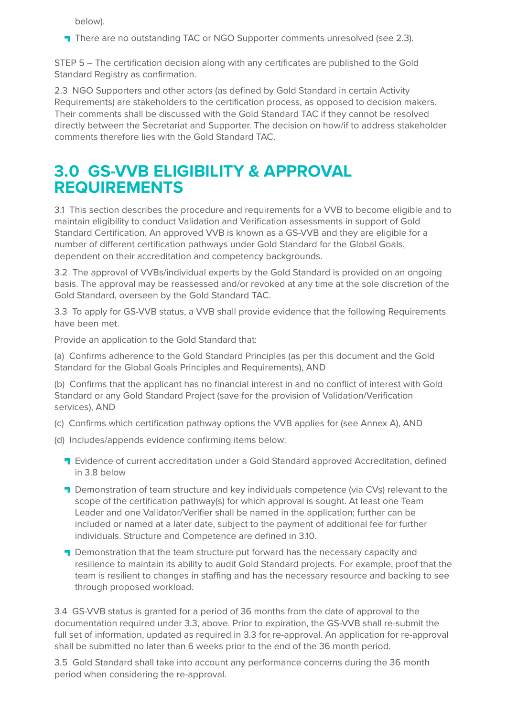below).

**T** There are no outstanding TAC or NGO Supporter comments unresolved (see 2.3).

STEP 5 – The certification decision along with any certificates are published to the Gold Standard Registry as confirmation.

2.3 NGO Supporters and other actors (as defined by Gold Standard in certain Activity Requirements) are stakeholders to the certification process, as opposed to decision makers. Their comments shall be discussed with the Gold Standard TAC if they cannot be resolved directly between the Secretariat and Supporter. The decision on how/if to address stakeholder comments therefore lies with the Gold Standard TAC.

### **3.0 GS-VVB ELIGIBILITY & APPROVAL REQUIREMENTS**

3.1 This section describes the procedure and requirements for a VVB to become eligible and to maintain eligibility to conduct Validation and Verification assessments in support of Gold Standard Certification. An approved VVB is known as a GS-VVB and they are eligible for a number of different certification pathways under Gold Standard for the Global Goals, dependent on their accreditation and competency backgrounds.

3.2The approval of VVBs/individual experts by the Gold Standard is provided on an ongoing basis. The approval may be reassessed and/or revoked at any time at the sole discretion of the Gold Standard, overseen by the Gold Standard TAC.

3.3 To apply for GS-VVB status, a VVB shall provide evidence that the following Requirements have been met.

Provide an application to the Gold Standard that:

(a) Confirms adherence to the Gold Standard Principles (as per this document and the Gold Standard for the Global Goals Principles and Requirements), AND

(b) Confirms that the applicant has no financial interest in and no conflict of interest with Gold Standard or any Gold Standard Project (save for the provision of Validation/Verification services), AND

- (c) Confirms which certification pathway options the VVB applies for (see Annex A), AND
- (d) Includes/appends evidence confirming items below:
	- **T** Evidence of current accreditation under a Gold Standard approved Accreditation, defined in 3.8 below
	- **T** Demonstration of team structure and key individuals competence (via CVs) relevant to the scope of the certification pathway(s) for which approval is sought. At least one Team Leader and one Validator/Verifier shall be named in the application; further can be included or named at a later date, subject to the payment of additional fee for further individuals. Structure and Competence are defined in 3.10.
	- **T** Demonstration that the team structure put forward has the necessary capacity and resilience to maintain its ability to audit Gold Standard projects. For example, proof that the team is resilient to changes in staffing and has the necessary resource and backing to see through proposed workload.

3.4 GS-VVB status is granted for a period of 36 months from the date of approval to the documentation required under 3.3, above. Prior to expiration, the GS-VVB shall re-submit the full set of information, updated as required in 3.3 for re-approval. An application for re-approval shall be submitted no later than 6 weeks prior to the end of the 36 month period.

3.5 Gold Standard shall take into account any performance concerns during the 36 month period when considering the re-approval.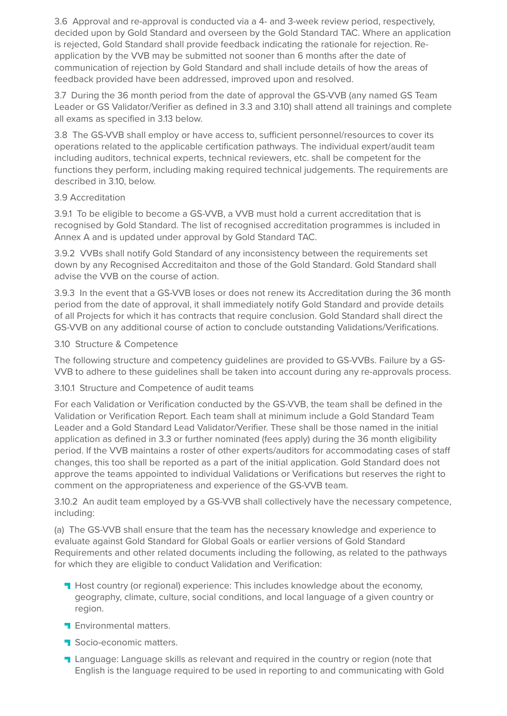3.6 Approval and re-approval is conducted via a 4- and 3-week review period, respectively, decided upon by Gold Standard and overseen by the Gold Standard TAC. Where an application is rejected, Gold Standard shall provide feedback indicating the rationale for rejection. Reapplication by the VVB may be submitted not sooner than 6 months after the date of communication of rejection by Gold Standard and shall include details of how the areas of feedback provided have been addressed, improved upon and resolved.

3.7 During the 36 month period from the date of approval the GS-VVB (any named GS Team Leader or GS Validator/Verifier as defined in 3.3 and 3.10) shall attend all trainings and complete all exams as specified in 3.13 below.

3.8 The GS-VVB shall employ or have access to, sufficient personnel/resources to cover its operations related to the applicable certification pathways. The individual expert/audit team including auditors, technical experts, technical reviewers, etc. shall be competent for the functions they perform, including making required technical judgements. The requirements are described in 3.10, below.

#### 3.9 Accreditation

3.9.1 To be eligible to become a GS-VVB, a VVB must hold a current accreditation that is recognised by Gold Standard. The list of recognised accreditation programmes is included in Annex A and is updated under approval by Gold Standard TAC.

3.9.2 VVBs shall notify Gold Standard of any inconsistency between the requirements set down by any Recognised Accreditaiton and those of the Gold Standard. Gold Standard shall advise the VVB on the course of action.

3.9.3 In the event that a GS-VVB loses or does not renew its Accreditation during the 36 month period from the date of approval, it shall immediately notify Gold Standard and provide details of all Projects for which it has contracts that require conclusion. Gold Standard shall direct the GS-VVB on any additional course of action to conclude outstanding Validations/Verifications.

#### 3.10 Structure & Competence

The following structure and competency guidelines are provided to GS-VVBs. Failure by a GS-VVB to adhere to these guidelines shall be taken into account during any re-approvals process.

#### 3.10.1 Structure and Competence of audit teams

For each Validation or Verification conducted by the GS-VVB, the team shall be defined in the Validation or Verification Report. Each team shall at minimum include a Gold Standard Team Leader and a Gold Standard Lead Validator/Verifier. These shall be those named in the initial application as defined in 3.3 or further nominated (fees apply) during the 36 month eligibility period. If the VVB maintains a roster of other experts/auditors for accommodating cases of staff changes, this too shall be reported as a part of the initial application. Gold Standard does not approve the teams appointed to individual Validations or Verifications but reserves the right to comment on the appropriateness and experience of the GS-VVB team.

3.10.2 An audit team employed by a GS-VVB shall collectively have the necessary competence, including:

(a) The GS-VVB shall ensure that the team has the necessary knowledge and experience to evaluate against Gold Standard for Global Goals or earlier versions of Gold Standard Requirements and other related documents including the following, as related to the pathways for which they are eligible to conduct Validation and Verification:

- **H** Host country (or regional) experience: This includes knowledge about the economy, geography, climate, culture, social conditions, and local language of a given country or region.
- **F** Environmental matters.
- Socio-economic matters.
- **T** Language: Language skills as relevant and required in the country or region (note that English is the language required to be used in reporting to and communicating with Gold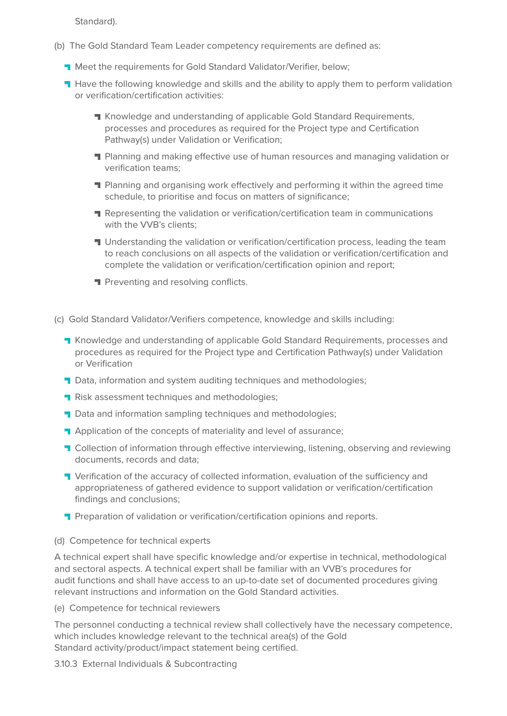Standard).

- (b) The Gold Standard Team Leader competency requirements are defined as:
	- **T** Meet the requirements for Gold Standard Validator/Verifier, below;
	- **H** Have the following knowledge and skills and the ability to apply them to perform validation or verification/certification activities:
		- **T** Knowledge and understanding of applicable Gold Standard Requirements, processes and procedures as required for the Project type and Certification Pathway(s) under Validation or Verification;
		- Planning and making effective use of human resources and managing validation or verification teams;
		- **Planning and organising work effectively and performing it within the agreed time** schedule, to prioritise and focus on matters of significance;
		- **Representing the validation or verification/certification team in communications** with the VVB's clients;
		- **I** Understanding the validation or verification/certification process, leading the team to reach conclusions on all aspects of the validation or verification/certification and complete the validation or verification/certification opinion and report;
		- **Preventing and resolving conflicts.**
- (c) Gold Standard Validator/Verifiers competence, knowledge and skills including:
	- **T** Knowledge and understanding of applicable Gold Standard Requirements, processes and procedures as required for the Project type and Certification Pathway(s) under Validation or Verification
	- **T** Data, information and system auditing techniques and methodologies;
	- **Risk assessment techniques and methodologies;**
	- Data and information sampling techniques and methodologies;
	- **Application of the concepts of materiality and level of assurance;**
	- **T** Collection of information through effective interviewing, listening, observing and reviewing documents, records and data;
	- **T** Verification of the accuracy of collected information, evaluation of the sufficiency and appropriateness of gathered evidence to support validation or verification/certification findings and conclusions;
	- **Preparation of validation or verification/certification opinions and reports.**

#### (d) Competence for technical experts

A technical expert shall have specific knowledge and/or expertise in technical, methodological and sectoral aspects. A technical expert shall be familiar with an VVB's procedures for audit functions and shall have access to an up-to-date set of documented procedures giving relevant instructions and information on the Gold Standard activities.

(e) Competence for technical reviewers

The personnel conducting a technical review shall collectively have the necessary competence, which includes knowledge relevant to the technical area(s) of the Gold Standard activity/product/impact statement being certified.

3.10.3 External Individuals & Subcontracting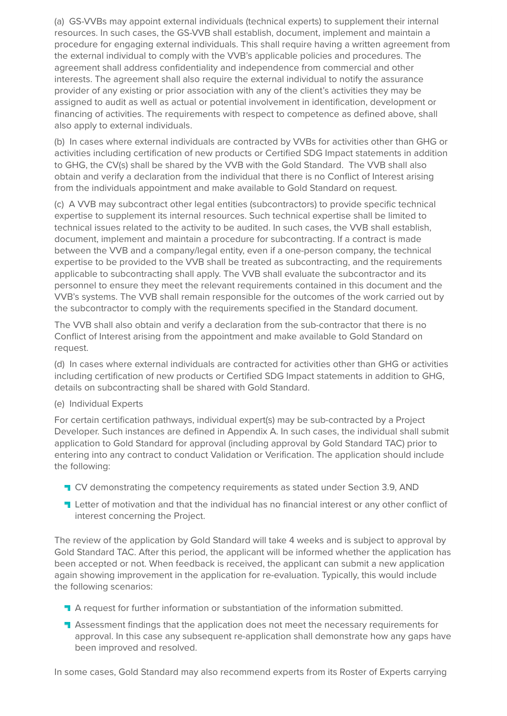(a) GS-VVBs may appoint external individuals (technical experts) to supplement their internal resources. In such cases, the GS-VVB shall establish, document, implement and maintain a procedure for engaging external individuals. This shall require having a written agreement from the external individual to comply with the VVB's applicable policies and procedures. The agreement shall address confidentiality and independence from commercial and other interests. The agreement shall also require the external individual to notify the assurance provider of any existing or prior association with any of the client's activities they may be assigned to audit as well as actual or potential involvement in identification, development or financing of activities. The requirements with respect to competence as defined above, shall also apply to external individuals.

(b) In cases where external individuals are contracted by VVBs for activities other than GHG or activities including certification of new products or Certified SDG Impact statements in addition to GHG, the CV(s) shall be shared by the VVB with the Gold Standard. The VVB shall also obtain and verify a declaration from the individual that there is no Conflict of Interest arising from the individuals appointment and make available to Gold Standard on request.

(c) A VVB may subcontract other legal entities (subcontractors) to provide specific technical expertise to supplement its internal resources. Such technical expertise shall be limited to technical issues related to the activity to be audited. In such cases, the VVB shall establish, document, implement and maintain a procedure for subcontracting. If a contract is made between the VVB and a company/legal entity, even if a one-person company, the technical expertise to be provided to the VVB shall be treated as subcontracting, and the requirements applicable to subcontracting shall apply. The VVB shall evaluate the subcontractor and its personnel to ensure they meet the relevant requirements contained in this document and the VVB's systems. The VVB shall remain responsible for the outcomes of the work carried out by the subcontractor to comply with the requirements specified in the Standard document.

The VVB shall also obtain and verify a declaration from the sub-contractor that there is no Conflict of Interest arising from the appointment and make available to Gold Standard on request.

(d) In cases where external individuals are contracted for activities other than GHG or activities including certification of new products or Certified SDG Impact statements in addition to GHG, details on subcontracting shall be shared with Gold Standard.

#### (e) Individual Experts

For certain certification pathways, individual expert(s) may be sub-contracted by a Project Developer. Such instances are defined in Appendix A. In such cases, the individual shall submit application to Gold Standard for approval (including approval by Gold Standard TAC) prior to entering into any contract to conduct Validation or Verification. The application should include the following:

- **T** CV demonstrating the competency requirements as stated under Section 3.9, AND
- **T** Letter of motivation and that the individual has no financial interest or any other conflict of interest concerning the Project.

The review of the application by Gold Standard will take 4 weeks and is subject to approval by Gold Standard TAC. After this period, the applicant will be informed whether the application has been accepted or not. When feedback is received, the applicant can submit a new application again showing improvement in the application for re-evaluation. Typically, this would include the following scenarios:

- **T** A request for further information or substantiation of the information submitted.
- **T** Assessment findings that the application does not meet the necessary requirements for approval. In this case any subsequent re-application shall demonstrate how any gaps have been improved and resolved.

In some cases, Gold Standard may also recommend experts from its Roster of Experts carrying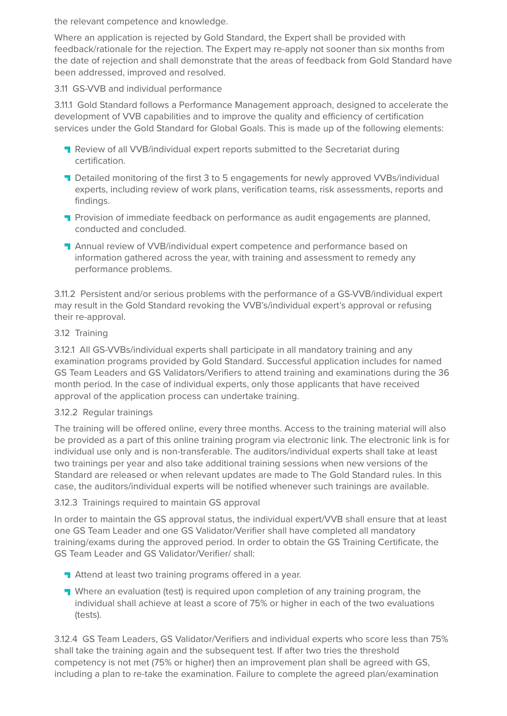the relevant competence and knowledge.

Where an application is rejected by Gold Standard, the Expert shall be provided with feedback/rationale for the rejection. The Expert may re-apply not sooner than six months from the date of rejection and shall demonstrate that the areas of feedback from Gold Standard have been addressed, improved and resolved.

#### 3.11 GS-VVB and individual performance

3.11.1 Gold Standard follows a Performance Management approach, designed to accelerate the development of VVB capabilities and to improve the quality and efficiency of certification services under the Gold Standard for Global Goals. This is made up of the following elements:

- **T** Review of all VVB/individual expert reports submitted to the Secretariat during certification.
- **T** Detailed monitoring of the first 3 to 5 engagements for newly approved VVBs/individual experts, including review of work plans, verification teams, risk assessments, reports and findings.
- **T** Provision of immediate feedback on performance as audit engagements are planned, conducted and concluded.
- **T** Annual review of VVB/individual expert competence and performance based on information gathered across the year, with training and assessment to remedy any performance problems.

3.11.2 Persistent and/or serious problems with the performance of a GS-VVB/individual expert may result in the Gold Standard revoking the VVB's/individual expert's approval or refusing their re-approval.

#### 3.12 Training

3.12.1 All GS-VVBs/individual experts shall participate in all mandatory training and any examination programs provided by Gold Standard. Successful application includes for named GS Team Leaders and GS Validators/Verifiers to attend training and examinations during the 36 month period. In the case of individual experts, only those applicants that have received approval of the application process can undertake training.

#### 3.12.2 Regular trainings

The training will be offered online, every three months. Access to the training material will also be provided as a part of this online training program via electronic link. The electronic link is for individual use only and is non-transferable. The auditors/individual experts shall take at least two trainings per year and also take additional training sessions when new versions of the Standard are released or when relevant updates are made to The Gold Standard rules. In this case, the auditors/individual experts will be notified whenever such trainings are available.

#### 3.12.3 Trainings required to maintain GS approval

In order to maintain the GS approval status, the individual expert/VVB shall ensure that at least one GS Team Leader and one GS Validator/Verifier shall have completed all mandatory training/exams during the approved period. In order to obtain the GS Training Certificate, the GS Team Leader and GS Validator/Verifier/ shall:

- **Attend at least two training programs offered in a year.**
- **T** Where an evaluation (test) is required upon completion of any training program, the individual shall achieve at least a score of 75% or higher in each of the two evaluations (tests).

3.12.4 GS Team Leaders, GS Validator/Verifiers and individual experts who score less than 75% shall take the training again and the subsequent test. If after two tries the threshold competency is not met (75% or higher) then an improvement plan shall be agreed with GS, including a plan to re-take the examination. Failure to complete the agreed plan/examination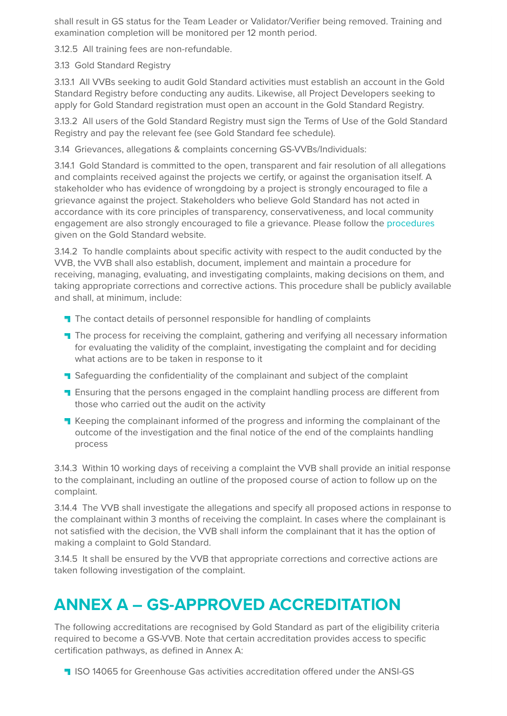shall result in GS status for the Team Leader or Validator/Verifier being removed. Training and examination completion will be monitored per 12 month period.

3.12.5 All training fees are non-refundable.

#### 3.13 Gold Standard Registry

3.13.1 All VVBs seeking to audit Gold Standard activities must establish an account in the Gold Standard Registry before conducting any audits. Likewise, all Project Developers seeking to apply for Gold Standard registration must open an account in the Gold Standard Registry.

3.13.2 All users of the Gold Standard Registry must sign the Terms of Use of the Gold Standard Registry and pay the relevant fee (see Gold Standard fee schedule).

3.14 Grievances, allegations & complaints concerning GS-VVBs/Individuals:

3.14.1 Gold Standard is committed to the open, transparent and fair resolution of all allegations and complaints received against the projects we certify, or against the organisation itself. A stakeholder who has evidence of wrongdoing by a project is strongly encouraged to file a grievance against the project. Stakeholders who believe Gold Standard has not acted in accordance with its core principles of transparency, conservativeness, and local community engagement are also strongly encouraged to file a grievance. Please follow the [procedures](https://www.goldstandard.org/sites/default/files/documents/grievance_policy_2015.pdf) given on the Gold Standard website.

3.14.2 To handle complaints about specific activity with respect to the audit conducted by the VVB, the VVB shall also establish, document, implement and maintain a procedure for receiving, managing, evaluating, and investigating complaints, making decisions on them, and taking appropriate corrections and corrective actions. This procedure shall be publicly available and shall, at minimum, include:

- The contact details of personnel responsible for handling of complaints
- **T** The process for receiving the complaint, gathering and verifying all necessary information for evaluating the validity of the complaint, investigating the complaint and for deciding what actions are to be taken in response to it
- **T** Safeguarding the confidentiality of the complainant and subject of the complaint
- **T** Ensuring that the persons engaged in the complaint handling process are different from those who carried out the audit on the activity
- **T** Keeping the complainant informed of the progress and informing the complainant of the outcome of the investigation and the final notice of the end of the complaints handling process

3.14.3 Within 10 working days of receiving a complaint the VVB shall provide an initial response to the complainant, including an outline of the proposed course of action to follow up on the complaint.

3.14.4 The VVB shall investigate the allegations and specify all proposed actions in response to the complainant within 3 months of receiving the complaint. In cases where the complainant is not satisfied with the decision, the VVB shall inform the complainant that it has the option of making a complaint to Gold Standard.

3.14.5 It shall be ensured by the VVB that appropriate corrections and corrective actions are taken following investigation of the complaint.

# **ANNEX A – GS-APPROVED ACCREDITATION**

The following accreditations are recognised by Gold Standard as part of the eligibility criteria required to become a GS-VVB. Note that certain accreditation provides access to specific certification pathways, as defined in Annex A:

**ISO 14065 for Greenhouse Gas activities accreditation offered under the ANSI-GS**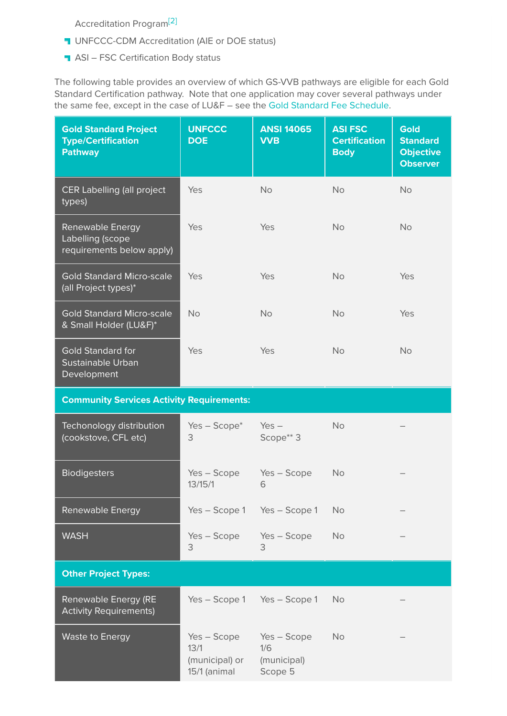Accreditation Program[\[2\]](https://globalgoals.goldstandard.org/101-a-vvbr-gold-standard-validation-verification-body-requirements/#_ftn2)

- **UNFCCC-CDM Accreditation (AIE or DOE status)**
- **ASI FSC Certification Body status**

The following table provides an overview of which GS-VVB pathways are eligible for each Gold Standard Certification pathway. Note that one application may cover several pathways under the same fee, except in the case of LU&F – see the [Gold Standard Fee Schedule](https://globalgoals.goldstandard.org/fees).

| <b>Gold Standard Project</b><br><b>Type/Certification</b><br><b>Pathway</b> | <b>UNFCCC</b><br><b>DOE</b>                           | <b>ANSI 14065</b><br><b>VVB</b>              | <b>ASI FSC</b><br><b>Certification</b><br><b>Body</b> | <b>Gold</b><br><b>Standard</b><br><b>Objective</b><br><b>Observer</b> |
|-----------------------------------------------------------------------------|-------------------------------------------------------|----------------------------------------------|-------------------------------------------------------|-----------------------------------------------------------------------|
| CER Labelling (all project<br>types)                                        | Yes                                                   | <b>No</b>                                    | <b>No</b>                                             | <b>No</b>                                                             |
| <b>Renewable Energy</b><br>Labelling (scope<br>requirements below apply)    | Yes                                                   | Yes                                          | <b>No</b>                                             | <b>No</b>                                                             |
| <b>Gold Standard Micro-scale</b><br>(all Project types)*                    | Yes                                                   | Yes                                          | <b>No</b>                                             | Yes                                                                   |
| <b>Gold Standard Micro-scale</b><br>& Small Holder (LU&F)*                  | <b>No</b>                                             | <b>No</b>                                    | <b>No</b>                                             | Yes                                                                   |
| <b>Gold Standard for</b><br>Sustainable Urban<br>Development                | Yes                                                   | Yes                                          | <b>No</b>                                             | <b>No</b>                                                             |
| <b>Community Services Activity Requirements:</b>                            |                                                       |                                              |                                                       |                                                                       |
| Techonology distribution<br>(cookstove, CFL etc)                            | $Yes - Score^*$<br>3                                  | $Yes -$<br>Scope** 3                         | <b>No</b>                                             |                                                                       |
| <b>Biodigesters</b>                                                         | Yes - Scope<br>13/15/1                                | Yes - Scope<br>6                             | <b>No</b>                                             |                                                                       |
| <b>Renewable Energy</b>                                                     | Yes - Scope 1                                         | Yes - Scope 1                                | <b>No</b>                                             |                                                                       |
| <b>WASH</b>                                                                 | $Yes - Score$<br>3                                    | Yes - Scope<br>3                             | <b>No</b>                                             |                                                                       |
| <b>Other Project Types:</b>                                                 |                                                       |                                              |                                                       |                                                                       |
| <b>Renewable Energy (RE</b><br><b>Activity Requirements)</b>                | Yes - Scope 1                                         | Yes - Scope 1                                | <b>No</b>                                             |                                                                       |
| <b>Waste to Energy</b>                                                      | Yes - Scope<br>13/1<br>(municipal) or<br>15/1 (animal | Yes - Scope<br>1/6<br>(municipal)<br>Scope 5 | <b>No</b>                                             |                                                                       |